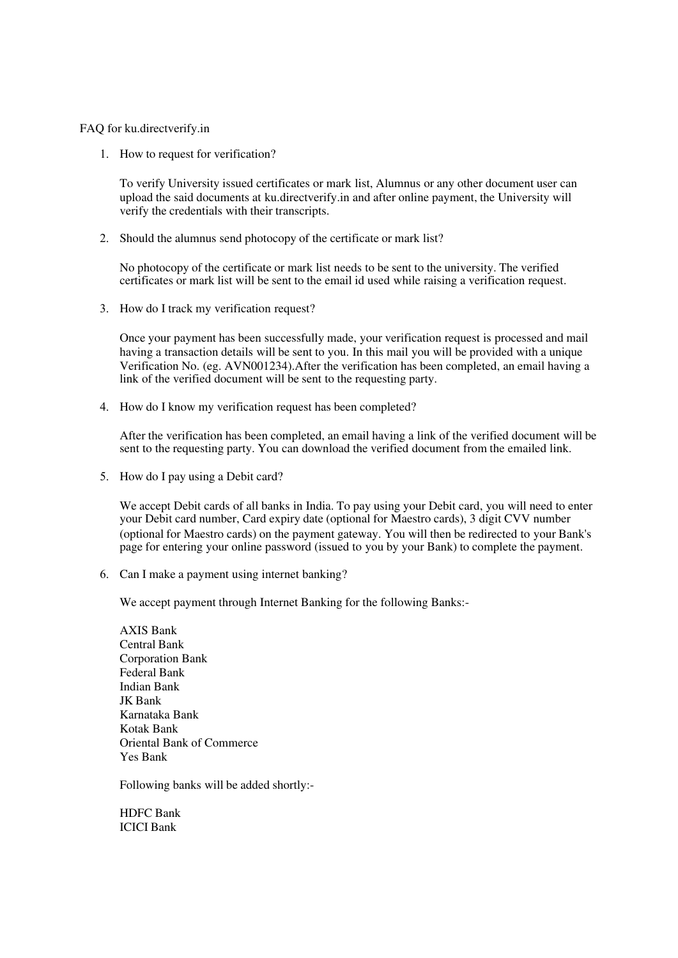FAQ for ku.directverify.in

1. How to request for verification?

To verify University issued certificates or mark list, Alumnus or any other document user can upload the said documents at ku.directverify.in and after online payment, the University will verify the credentials with their transcripts.

2. Should the alumnus send photocopy of the certificate or mark list?

No photocopy of the certificate or mark list needs to be sent to the university. The verified certificates or mark list will be sent to the email id used while raising a verification request.

3. How do I track my verification request?

Once your payment has been successfully made, your verification request is processed and mail having a transaction details will be sent to you. In this mail you will be provided with a unique Verification No. (eg. AVN001234).After the verification has been completed, an email having a link of the verified document will be sent to the requesting party.

4. How do I know my verification request has been completed?

After the verification has been completed, an email having a link of the verified document will be sent to the requesting party. You can download the verified document from the emailed link.

5. How do I pay using a Debit card?

We accept Debit cards of all banks in India. To pay using your Debit card, you will need to enter your Debit card number, Card expiry date (optional for Maestro cards), 3 digit CVV number (optional for Maestro cards) on the payment gateway. You will then be redirected to your Bank's page for entering your online password (issued to you by your Bank) to complete the payment.

6. Can I make a payment using internet banking?

We accept payment through Internet Banking for the following Banks:-

AXIS Bank Central Bank Corporation Bank Federal Bank Indian Bank JK Bank Karnataka Bank Kotak Bank Oriental Bank of Commerce Yes Bank

Following banks will be added shortly:-

HDFC Bank ICICI Bank